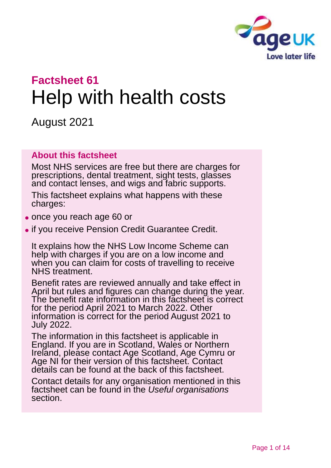

# **Factsheet 61** Help with health costs

August 2021

#### **About this factsheet**

Most NHS services are free but there are charges for prescriptions, dental treatment, sight tests, glasses and contact lenses, and wigs and fabric supports.

This factsheet explains what happens with these charges:

- ⚫ once you reach age 60 or
- ⚫ if you receive Pension Credit Guarantee Credit.

It explains how the NHS Low Income Scheme can help with charges if you are on a low income and when you can claim for costs of travelling to receive NHS treatment.

Benefit rates are reviewed annually and take effect in April but rules and figures can change during the year. The benefit rate information in this factsheet is correct for the period April 2021 to March 2022. Other information is correct for the period August 2021 to July 2022.

The information in this factsheet is applicable in England. If you are in Scotland, Wales or Northern Ireland, please contact [Age Scotland,](#page-12-0) [Age Cymru](#page-12-1) or [Age NI](#page-12-2) for their version of this factsheet. Contact details can be found at the back of this factsheet.

Contact details for any organisation mentioned in this factsheet can be found in the *[Useful organisations](#page-11-0)* section.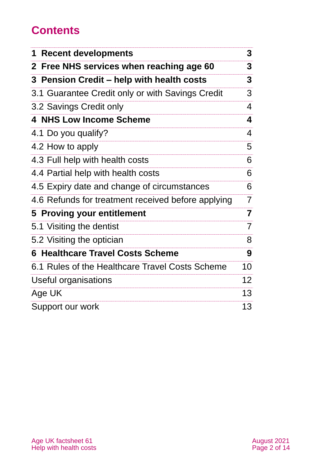# **Contents**

| <b>Recent developments</b><br>1                        | 3                       |
|--------------------------------------------------------|-------------------------|
| Free NHS services when reaching age 60<br>$\mathbf{2}$ | 3                       |
| 3 Pension Credit – help with health costs              | 3                       |
| 3.1 Guarantee Credit only or with Savings Credit       | 3                       |
| 3.2 Savings Credit only                                | 4                       |
| <b>4 NHS Low Income Scheme</b>                         | 4                       |
| 4.1 Do you qualify?                                    | 4                       |
| 4.2 How to apply                                       | 5                       |
| 4.3 Full help with health costs                        | 6                       |
| 4.4 Partial help with health costs                     | 6                       |
| 4.5 Expiry date and change of circumstances            | 6                       |
| 4.6 Refunds for treatment received before applying     | $\overline{7}$          |
| 5 Proving your entitlement                             | $\overline{\mathbf{7}}$ |
| 5.1 Visiting the dentist                               | $\overline{7}$          |
| 5.2 Visiting the optician                              | 8                       |
| <b>6 Healthcare Travel Costs Scheme</b>                | 9                       |
| 6.1 Rules of the Healthcare Travel Costs Scheme        | 10                      |
| Useful organisations                                   | 12 <sup>2</sup>         |
| Age UK                                                 | 13                      |
| Support our work                                       | 13                      |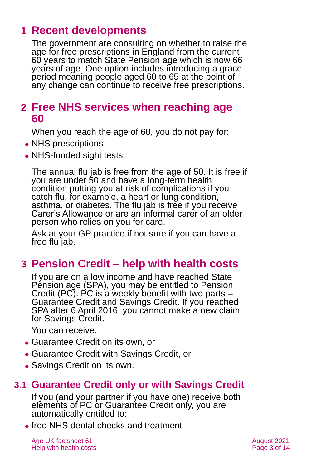# <span id="page-2-0"></span>**1 Recent developments**

The government are consulting on whether to raise the age for free prescriptions in England from the current 60 years to match State Pension age which is now 66 years of age. One option includes introducing a grace period meaning people aged 60 to 65 at the point of any change can continue to receive free prescriptions.

# <span id="page-2-1"></span>**2 Free NHS services when reaching age 60**

When you reach the age of 60, you do not pay for:

- NHS prescriptions
- NHS-funded sight tests.

The annual flu jab is free from the age of 50. It is free if you are under 50 and have a long-term health condition putting you at risk of complications if you catch flu, for example, a heart or lung condition, asthma, or diabetes. The flu jab is free if you receive Carer's Allowance or are an informal carer of an older person who relies on you for care.

Ask at your GP practice if not sure if you can have a free flu jab.

# <span id="page-2-2"></span>**3 Pension Credit – help with health costs**

If you are on a low income and have reached State Pension age (SPA), you may be entitled to Pension Credit (PC). PC is a weekly benefit with two parts – Guarantee Credit and Savings Credit. If you reached SPA after 6 April 2016, you cannot make a new claim for Savings Credit.

You can receive:

- ⚫ Guarantee Credit on its own, or
- ⚫ Guarantee Credit with Savings Credit, or
- Savings Credit on its own.

### **3.1 Guarantee Credit only or with Savings Credit**

If you (and your partner if you have one) receive both elements of PC or Guarantee Credit only, you are automatically entitled to:

⚫ free NHS dental checks and treatment

Age UK factsheet 61 August 2021 Help with health costs **Page 3 of 14**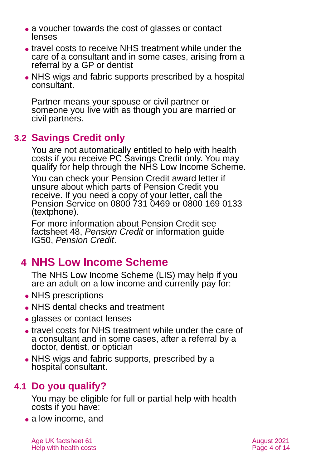- a voucher towards the cost of glasses or contact lenses
- ⚫ travel costs to receive NHS treatment while under the care of a consultant and in some cases, arising from a referral by a GP or dentist
- NHS wigs and fabric supports prescribed by a hospital consultant.

Partner means your spouse or civil partner or someone you live with as though you are married or civil partners.

# **3.2 Savings Credit only**

You are not automatically entitled to help with health costs if you receive PC Savings Credit only. You may qualify for help through the NHS Low Income Scheme.

You can check your Pension Credit award letter if unsure about which parts of Pension Credit you receive. If you need a copy of your letter, call the Pension Service on 0800 731 0469 or 0800 169 0133 (textphone).

For more information about Pension Credit see factsheet 48, *[Pension Credit](https://www.ageuk.org.uk/globalassets/age-uk/documents/factsheets/fs48_pension_credit_fcs.pdf)* or information guide IG50, *[Pension Credit](https://www.ageuk.org.uk/globalassets/age-uk/documents/information-guides/ageukig50_pension_credit_inf.pdf)*.

# <span id="page-3-0"></span>**4 NHS Low Income Scheme**

The NHS Low Income Scheme (LIS) may help if you are an adult on a low income and currently pay for:

- NHS prescriptions
- ⚫ NHS dental checks and treatment
- glasses or contact lenses
- ⚫ travel costs for NHS treatment while under the care of a consultant and in some cases, after a referral by a doctor, dentist, or optician
- <span id="page-3-1"></span>⚫ NHS wigs and fabric supports, prescribed by a hospital consultant.

# **4.1 Do you qualify?**

You may be eligible for full or partial help with health costs if you have:

• a low income, and

Age UK factsheet 61 August 2021 **August 2021** Help with health costs **Page 4 of 14**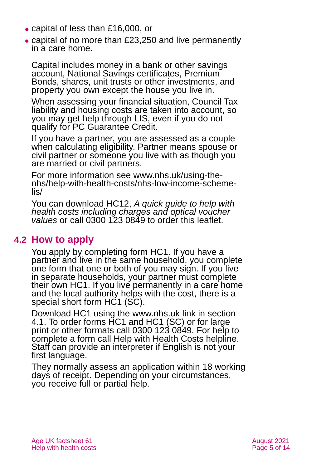- ⚫ capital of less than £16,000, or
- ⚫ capital of no more than £23,250 and live permanently in a care home.

Capital includes money in a bank or other savings account, National Savings certificates, Premium Bonds, shares, unit trusts or other investments, and property you own except the house you live in.

When assessing your financial situation, Council Tax liability and housing costs are taken into account, so you may get help through LIS, even if you do not qualify for PC Guarantee Credit.

If you have a partner, you are assessed as a couple when calculating eligibility. Partner means spouse or civil partner or someone you live with as though you are married or civil partners.

For more information see [www.nhs.uk/using-the](http://www.nhs.uk/using-the-nhs/help-with-health-costs/nhs-low-income-scheme-lis/)[nhs/help-with-health-costs/nhs-low-income-scheme](http://www.nhs.uk/using-the-nhs/help-with-health-costs/nhs-low-income-scheme-lis/)[lis/](http://www.nhs.uk/using-the-nhs/help-with-health-costs/nhs-low-income-scheme-lis/)

You can download HC12, *[A quick guide to help with](https://www.nhs.uk/NHSEngland/Healthcosts/Documents/2016/HC12%20April%202016%20(V6)%2005.2016%20(online).pdf)  [health costs including charges and optical voucher](https://www.nhs.uk/NHSEngland/Healthcosts/Documents/2016/HC12%20April%202016%20(V6)%2005.2016%20(online).pdf)  values* [or call 0300 123 0849 to order this leaflet.](https://www.nhs.uk/NHSEngland/Healthcosts/Documents/2016/HC12%20April%202016%20(V6)%2005.2016%20(online).pdf)

### **4.2 How to apply**

You apply by completing form [HC1.](http://www.nhs.uk/NHSEngland/Healthcosts/Documents/2016/HC1-April-2016.pdf) If you have a partner and live in the same household, you complete one form that one or both of you may sign. If you live in separate households, your partner must complete their own HC1. If you live permanently in a care home and the local authority helps with the cost, there is a special short form [HC1 \(SC\).](http://www.nhs.uk/NHSEngland/Healthcosts/Documents/2016/HC1SC-April-2016.pdf)

Download HC1 using the [www.nhs.uk](http://www.nhs.uk/) link in [section](#page-3-1)  [4.1.](#page-3-1) To order forms HC1 and HC1 (SC) or for large print or other formats call 0300 123 0849. For help to complete a form call Help with Health Costs helpline. Staff can provide an interpreter if English is not your first language.

They normally assess an application within 18 working days of receipt. Depending on your circumstances, you receive full or partial help.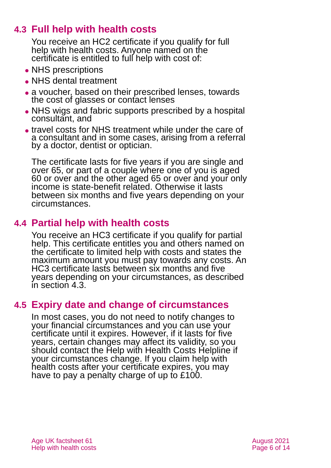# **4.3 Full help with health costs**

<span id="page-5-0"></span>You receive an HC2 certificate if you qualify for full help with health costs. Anyone named on the certificate is entitled to full help with cost of:

- NHS prescriptions
- NHS dental treatment
- ⚫ a voucher, based on their prescribed lenses, towards the cost of glasses or contact lenses
- NHS wigs and fabric supports prescribed by a hospital consultant, and
- ⚫ travel costs for NHS treatment while under the care of a consultant and in some cases, arising from a referral by a doctor, dentist or optician.

The certificate lasts for five years if you are single and over 65, or part of a couple where one of you is aged 60 or over and the other aged 65 or over and your only income is state-benefit related. Otherwise it lasts between six months and five years depending on your circumstances.

### **4.4 Partial help with health costs**

You receive an HC3 certificate if you qualify for partial help. This certificate entitles you and others named on the certificate to limited help with costs and states the maximum amount you must pay towards any costs. An HC3 certificate lasts between six months and five years depending on your circumstances, as described in [section 4.3.](#page-5-0)

### **4.5 Expiry date and change of circumstances**

In most cases, you do not need to notify changes to your financial circumstances and you can use your certificate until it expires. However, if it lasts for five years, certain changes may affect its validity, so you should contact the Help with Health Costs Helpline if your circumstances change. If you claim help with health costs after your certificate expires, you may have to pay a penalty charge of up to £100.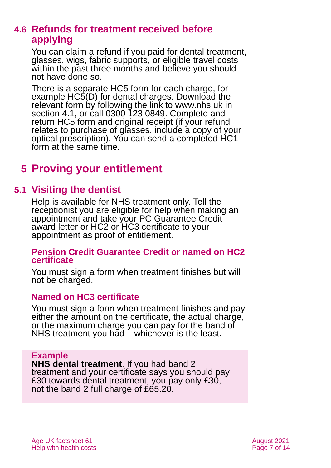### <span id="page-6-1"></span>**4.6 Refunds for treatment received before applying**

You can claim a refund if you paid for dental treatment, glasses, wigs, fabric supports, or eligible travel costs within the past three months and believe you should not have done so.

There is a separate HC5 form for each charge, for example HC5(D) for dental charges. Download the relevant form by following the link to www.nhs.uk in [section 4.1,](#page-3-1) or call 0300 123 0849. Complete and return HC5 form and original receipt (if your refund relates to purchase of glasses, include a copy of your optical prescription). You can send a completed HC1 form at the same time.

# <span id="page-6-0"></span>**5 Proving your entitlement**

### **5.1 Visiting the dentist**

Help is available for NHS treatment only. Tell the receptionist you are eligible for help when making an appointment and take your PC Guarantee Credit award letter or HC2 or HC3 certificate to your appointment as proof of entitlement.

#### **Pension Credit Guarantee Credit or named on HC2 certificate**

You must sign a form when treatment finishes but will not be charged.

#### **Named on HC3 certificate**

You must sign a form when treatment finishes and pay either the amount on the certificate, the actual charge, or the maximum charge you can pay for the band of NHS treatment you had – whichever is the least.

#### **Example**

**NHS dental treatment**. If you had band 2 treatment and your certificate says you should pay £30 towards dental treatment, you pay only £30, not the band 2 full charge of £65.20.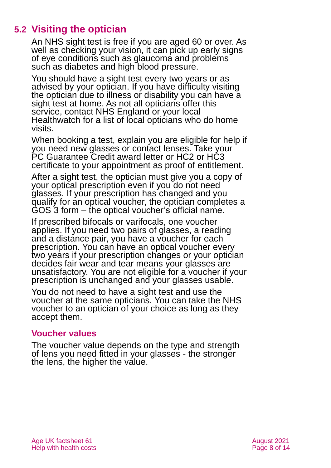# **5.2 Visiting the optician**

An NHS sight test is free if you are aged 60 or over. As well as checking your vision, it can pick up early signs of eye conditions such as glaucoma and problems such as diabetes and high blood pressure.

You should have a sight test every two years or as advised by your optician. If you have difficulty visiting the optician due to illness or disability you can have a sight test at home. As not all opticians offer this service, contact [NHS England](https://www.england.nhs.uk/contact-us/) or your local [Healthwatch](https://www.healthwatch.co.uk/) for a list of local opticians who do home visits.

When booking a test, explain you are eligible for help if you need new glasses or contact lenses. Take your PC Guarantee Credit award letter or HC2 or HC3 certificate to your appointment as proof of entitlement.

After a sight test, the optician must give you a copy of your optical prescription even if you do not need glasses. If your prescription has changed and you qualify for an optical voucher, the optician completes a GOS 3 form – the optical voucher's official name.

If prescribed bifocals or varifocals, one voucher applies. If you need two pairs of glasses, a reading and a distance pair, you have a voucher for each prescription. You can have an optical voucher every two years if your prescription changes or your optician decides fair wear and tear means your glasses are unsatisfactory. You are not eligible for a voucher if your prescription is unchanged and your glasses usable.

You do not need to have a sight test and use the voucher at the same opticians. You can take the NHS voucher to an optician of your choice as long as they accept them.

#### **Voucher values**

The voucher value depends on the type and strength of lens you need fitted in your glasses - the stronger the lens, the higher the value.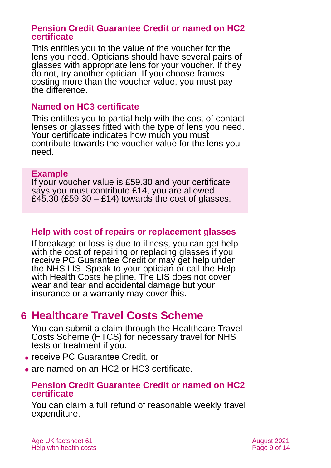#### **Pension Credit Guarantee Credit or named on HC2 certificate**

This entitles you to the value of the voucher for the lens you need. Opticians should have several pairs of glasses with appropriate lens for your voucher. If they do not, try another optician. If you choose frames costing more than the voucher value, you must pay the difference.

#### **Named on HC3 certificate**

This entitles you to partial help with the cost of contact lenses or glasses fitted with the type of lens you need. Your certificate indicates how much you must contribute towards the voucher value for the lens you need.

#### **Example**

If your voucher value is £59.30 and your certificate says you must contribute £14, you are allowed £45.30 (£59.30 – £14) towards the cost of glasses.

#### **Help with cost of repairs or replacement glasses**

If breakage or loss is due to illness, you can get help with the cost of repairing or replacing glasses if you receive PC Guarantee Credit or may get help under the NHS LIS. Speak to your optician or call the [Help](#page-11-1)  [with Health Costs helpline.](#page-11-1) The LIS does not cover wear and tear and accidental damage but your insurance or a warranty may cover this.

# <span id="page-8-0"></span>**6 Healthcare Travel Costs Scheme**

You can submit a claim through the Healthcare Travel Costs Scheme (HTCS) for necessary travel for NHS tests or treatment if you:

- ⚫ receive PC Guarantee Credit, or
- ⚫ are named on an HC2 or HC3 certificate.

#### **Pension Credit Guarantee Credit or named on HC2 certificate**

You can claim a full refund of reasonable weekly travel expenditure.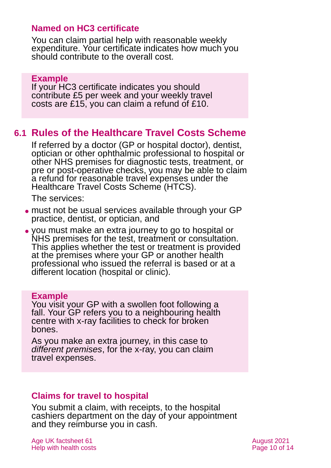#### **Named on HC3 certificate**

You can claim partial help with reasonable weekly expenditure. Your certificate indicates how much you should contribute to the overall cost.

#### **Example**

If your HC3 certificate indicates you should contribute £5 per week and your weekly travel costs are £15, you can claim a refund of £10.

#### **6.1 Rules of the Healthcare Travel Costs Scheme**

If referred by a doctor (GP or hospital doctor), dentist, optician or other ophthalmic professional to hospital or other NHS premises for diagnostic tests, treatment, or pre or post-operative checks, you may be able to claim a refund for reasonable travel expenses under the Healthcare Travel Costs Scheme (HTCS).

The services:

- ⚫ must not be usual services available through your GP practice, dentist, or optician, and
- ⚫ you must make an extra journey to go to hospital or NHS premises for the test, treatment or consultation. This applies whether the test or treatment is provided at the premises where your GP or another health professional who issued the referral is based or at a different location (hospital or clinic).

#### **Example**

You visit your GP with a swollen foot following a fall. Your GP refers you to a neighbouring health centre with x-ray facilities to check for broken bones.

As you make an extra journey, in this case to *different premises*, for the x-ray, you can claim travel expenses.

#### **Claims for travel to hospital**

You submit a claim, with receipts, to the hospital cashiers department on the day of your appointment and they reimburse you in cash.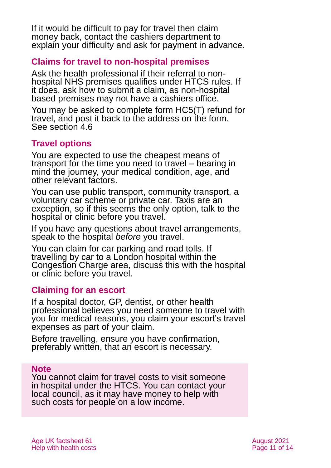If it would be difficult to pay for travel then claim money back, contact the cashiers department to explain your difficulty and ask for payment in advance.

#### **Claims for travel to non-hospital premises**

Ask the health professional if their referral to nonhospital NHS premises qualifies under HTCS rules. If it does, ask how to submit a claim, as non-hospital based premises may not have a cashiers office.

You may be asked to complete form [HC5\(T\) refund for](https://assets.nhs.uk/prod/documents/HC5_T_travel.pdf)  [travel,](https://assets.nhs.uk/prod/documents/HC5_T_travel.pdf) and post it back to the address on the form. See [section 4.6](#page-6-1)

#### **Travel options**

You are expected to use the cheapest means of transport for the time you need to travel – bearing in mind the journey, your medical condition, age, and other relevant factors.

You can use public transport, community transport, a voluntary car scheme or private car. Taxis are an exception, so if this seems the only option, talk to the hospital or clinic before you travel.

If you have any questions about travel arrangements, speak to the hospital *before* you travel.

You can claim for car parking and road tolls. If travelling by car to a London hospital within the Congestion Charge area, discuss this with the hospital or clinic before you travel.

#### **Claiming for an escort**

If a hospital doctor, GP, dentist, or other health professional believes you need someone to travel with you for medical reasons, you claim your escort's travel expenses as part of your claim.

Before travelling, ensure you have confirmation, preferably written, that an escort is necessary.

#### **Note**

You cannot claim for travel costs to visit someone in hospital under the HTCS. You can contact your local council, as it may have money to help with such costs for people on a low income.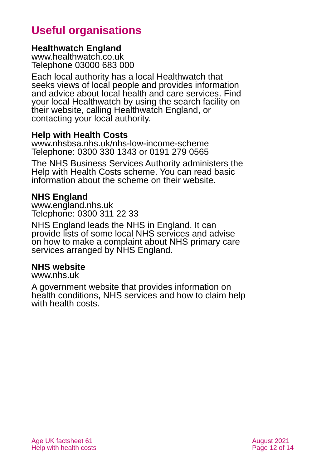# **Useful organisations**

#### <span id="page-11-0"></span>**Healthwatch England**

[www.healthwatch.co.uk](http://www.healthwatch.co.uk/) Telephone 03000 683 000

Each local authority has a local Healthwatch that seeks views of local people and provides information and advice about local health and care services. Find your local Healthwatch by using the search facility on their website, calling Healthwatch England, or contacting your local authority.

#### <span id="page-11-1"></span>**Help with Health Costs**

[www.nhsbsa.nhs.uk/nhs-low-income-scheme](http://www.nhsbsa.nhs.uk/nhs-low-income-scheme) Telephone: 0300 330 1343 or 0191 279 0565

The NHS Business Services Authority administers the Help with Health Costs scheme. You can read basic information about the scheme on their website.

#### **NHS England**

[www.england.nhs.uk](https://www.england.nhs.uk/) Telephone: 0300 311 22 33

NHS England leads the NHS in England. It can provide lists of some local NHS services and advise on how to make a complaint about NHS primary care services arranged by NHS England.

#### **NHS website**

[www.nhs.uk](http://www.nhs.uk/)

A government website that provides information on health conditions, NHS services and how to claim help with health costs.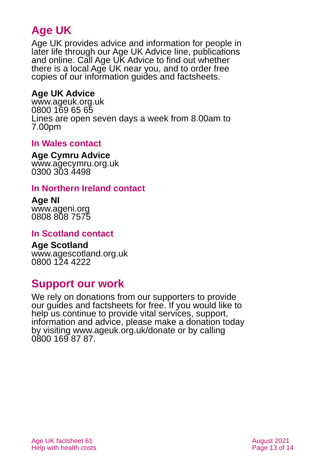# **Age UK**

Age UK provides advice and information for people in later life through our Age UK Advice line, publications and online. Call Age UK Advice to find out whether there is a local Age UK near you, and to order free copies of our information guides and factsheets.

#### <span id="page-12-3"></span>**Age UK Advice**

[www.ageuk.org.uk](http://www.ageuk.org.uk/) 0800 169 65 65 Lines are open seven days a week from 8.00am to 7.00pm

#### <span id="page-12-1"></span>**In Wales contact**

#### **Age Cymru Advice**

[www.agecymru.org.uk](http://www.agecymru.org.uk/) 0300 303 4498

#### <span id="page-12-2"></span>**In Northern Ireland contact**

#### **Age NI** [www.ageni.org](http://www.ageni.org/)

0808 808 7575

#### <span id="page-12-0"></span>**In Scotland contact**

# <span id="page-12-4"></span>**Age Scotland**

[www.agescotland.org.uk](http://www.agescotland.org.uk/) 0800 124 4222

# **Support our work**

We rely on donations from our supporters to provide our guides and factsheets for free. If you would like to help us continue to provide vital services, support, information and advice, please make a donation today by visiting [www.ageuk.org.uk/donate](http://www.ageuk.org.uk/donate) or by calling 0800 169 87 87.